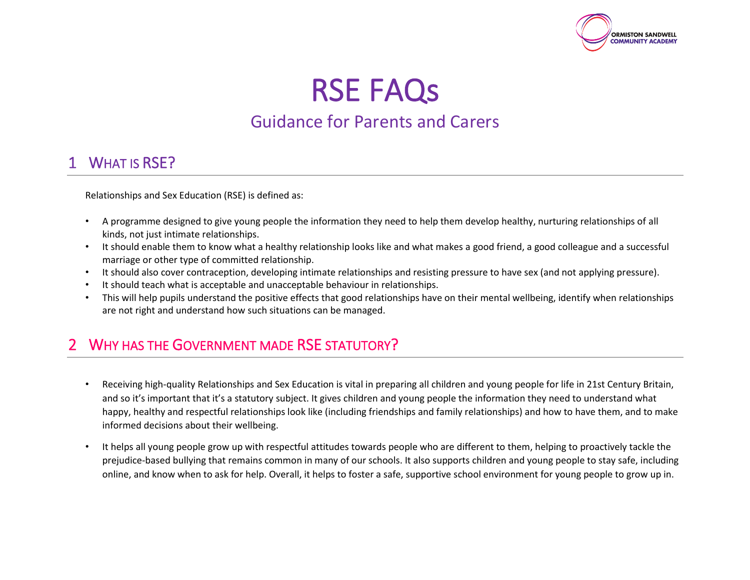

RSE FAQs

# Guidance for Parents and Carers

#### WHAT IS RSE?

Relationships and Sex Education (RSE) is defined as:

- A programme designed to give young people the information they need to help them develop healthy, nurturing relationships of all kinds, not just intimate relationships.
- It should enable them to know what a healthy relationship looks like and what makes a good friend, a good colleague and a successful marriage or other type of committed relationship.
- It should also cover contraception, developing intimate relationships and resisting pressure to have sex (and not applying pressure).
- It should teach what is acceptable and unacceptable behaviour in relationships.
- This will help pupils understand the positive effects that good relationships have on their mental wellbeing, identify when relationships are not right and understand how such situations can be managed.

# WHY HAS THE GOVERNMENT MADE RSE STATUTORY?

- Receiving high-quality Relationships and Sex Education is vital in preparing all children and young people for life in 21st Century Britain, and so it's important that it's a statutory subject. It gives children and young people the information they need to understand what happy, healthy and respectful relationships look like (including friendships and family relationships) and how to have them, and to make informed decisions about their wellbeing.
- It helps all young people grow up with respectful attitudes towards people who are different to them, helping to proactively tackle the prejudice-based bullying that remains common in many of our schools. It also supports children and young people to stay safe, including online, and know when to ask for help. Overall, it helps to foster a safe, supportive school environment for young people to grow up in.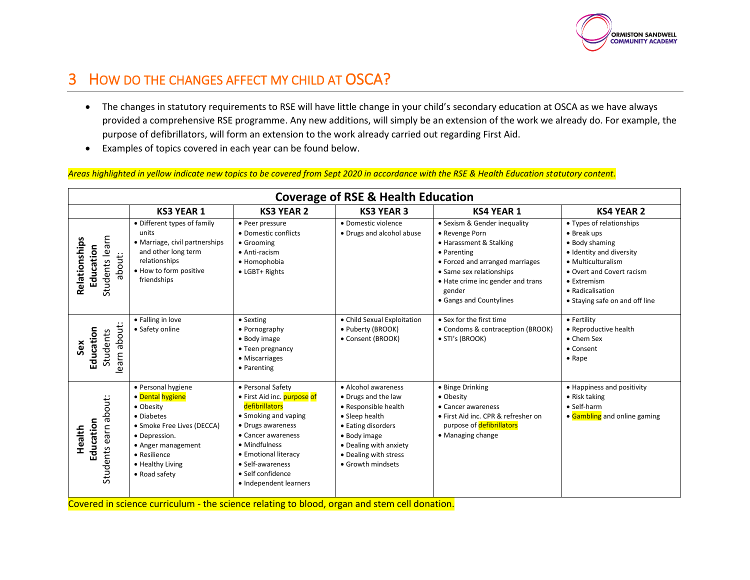

# 3 HOW DO THE CHANGES AFFECT MY CHILD AT OSCA?

- The changes in statutory requirements to RSE will have little change in your child's secondary education at OSCA as we have always provided a comprehensive RSE programme. Any new additions, will simply be an extension of the work we already do. For example, the purpose of defibrillators, will form an extension to the work already carried out regarding First Aid.
- Examples of topics covered in each year can be found below.

*Areas highlighted in yellow indicate new topics to be covered from Sept 2020 in accordance with the RSE & Health Education statutory content.*

| <b>Coverage of RSE &amp; Health Education</b>          |                                                                                                                                                                                             |                                                                                                                                                                                                                                                   |                                                                                                                                                                                                    |                                                                                                                                                                                                                                   |                                                                                                                                                                                                               |
|--------------------------------------------------------|---------------------------------------------------------------------------------------------------------------------------------------------------------------------------------------------|---------------------------------------------------------------------------------------------------------------------------------------------------------------------------------------------------------------------------------------------------|----------------------------------------------------------------------------------------------------------------------------------------------------------------------------------------------------|-----------------------------------------------------------------------------------------------------------------------------------------------------------------------------------------------------------------------------------|---------------------------------------------------------------------------------------------------------------------------------------------------------------------------------------------------------------|
|                                                        | <b>KS3 YEAR 1</b>                                                                                                                                                                           | <b>KS3 YEAR 2</b>                                                                                                                                                                                                                                 | <b>KS3 YEAR 3</b>                                                                                                                                                                                  | <b>KS4 YEAR 1</b>                                                                                                                                                                                                                 | <b>KS4 YEAR 2</b>                                                                                                                                                                                             |
| Students learn<br>Relationships<br>Education<br>about: | • Different types of family<br>units<br>• Marriage, civil partnerships<br>and other long term<br>relationships<br>. How to form positive<br>friendships                                     | • Peer pressure<br>• Domestic conflicts<br>• Grooming<br>• Anti-racism<br>• Homophobia<br>• LGBT+ Rights                                                                                                                                          | · Domestic violence<br>• Drugs and alcohol abuse                                                                                                                                                   | · Sexism & Gender inequality<br>• Revenge Porn<br>• Harassment & Stalking<br>• Parenting<br>• Forced and arranged marriages<br>• Same sex relationships<br>• Hate crime inc gender and trans<br>gender<br>• Gangs and Countylines | • Types of relationships<br>• Break ups<br>• Body shaming<br>· Identity and diversity<br>• Multiculturalism<br>• Overt and Covert racism<br>• Extremism<br>• Radicalisation<br>• Staying safe on and off line |
| about:<br>Education<br><b>Students</b><br>Šêx<br>learn | • Falling in love<br>• Safety online                                                                                                                                                        | • Sexting<br>• Pornography<br>• Body image<br>• Teen pregnancy<br>• Miscarriages<br>• Parenting                                                                                                                                                   | • Child Sexual Exploitation<br>• Puberty (BROOK)<br>• Consent (BROOK)                                                                                                                              | • Sex for the first time<br>• Condoms & contraception (BROOK)<br>• STI's (BROOK)                                                                                                                                                  | • Fertility<br>• Reproductive health<br>• Chem Sex<br>• Consent<br>$\bullet$ Rape                                                                                                                             |
| about:<br>Education<br>earn<br>Health<br>Students      | · Personal hygiene<br>• Dental hygiene<br>• Obesity<br>• Diabetes<br>• Smoke Free Lives (DECCA)<br>· Depression.<br>• Anger management<br>• Resilience<br>• Healthy Living<br>• Road safety | • Personal Safety<br>• First Aid inc. purpose of<br>defibrillators<br>• Smoking and vaping<br>• Drugs awareness<br>• Cancer awareness<br>• Mindfulness<br>• Emotional literacy<br>• Self-awareness<br>· Self confidence<br>• Independent learners | • Alcohol awareness<br>• Drugs and the law<br>• Responsible health<br>• Sleep health<br>• Eating disorders<br>• Body image<br>• Dealing with anxiety<br>• Dealing with stress<br>• Growth mindsets | • Binge Drinking<br>• Obesity<br>• Cancer awareness<br>• First Aid inc. CPR & refresher on<br>purpose of defibrillators<br>• Managing change                                                                                      | • Happiness and positivity<br>$\bullet$ Risk taking<br>• Self-harm<br>• Gambling and online gaming                                                                                                            |

Covered in science curriculum - the science relating to blood, organ and stem cell donation.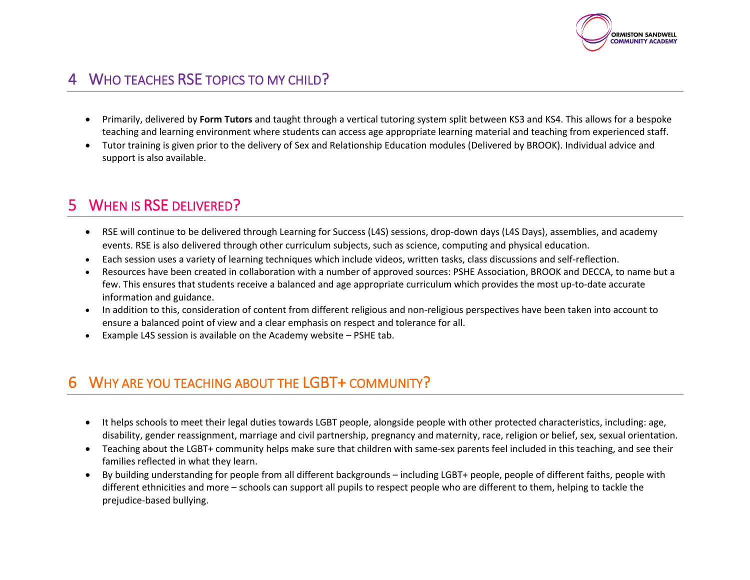

## 4 WHO TEACHES RSE TOPICS TO MY CHILD?

- Primarily, delivered by **Form Tutors** and taught through a vertical tutoring system split between KS3 and KS4. This allows for a bespoke teaching and learning environment where students can access age appropriate learning material and teaching from experienced staff.
- Tutor training is given prior to the delivery of Sex and Relationship Education modules (Delivered by BROOK). Individual advice and support is also available.

# 5 WHEN IS RSE DELIVERED?

- RSE will continue to be delivered through Learning for Success (L4S) sessions, drop-down days (L4S Days), assemblies, and academy events. RSE is also delivered through other curriculum subjects, such as science, computing and physical education.
- Each session uses a variety of learning techniques which include videos, written tasks, class discussions and self-reflection.
- Resources have been created in collaboration with a number of approved sources: PSHE Association, BROOK and DECCA, to name but a few. This ensures that students receive a balanced and age appropriate curriculum which provides the most up-to-date accurate information and guidance.
- In addition to this, consideration of content from different religious and non-religious perspectives have been taken into account to ensure a balanced point of view and a clear emphasis on respect and tolerance for all.
- Example L4S session is available on the Academy website PSHE tab.

#### WHY ARE YOU TEACHING ABOUT THE LGBT+ COMMUNITY?

- It helps schools to meet their legal duties towards LGBT people, alongside people with other protected characteristics, including: age, disability, gender reassignment, marriage and civil partnership, pregnancy and maternity, race, religion or belief, sex, sexual orientation.
- Teaching about the LGBT+ community helps make sure that children with same-sex parents feel included in this teaching, and see their families reflected in what they learn.
- By building understanding for people from all different backgrounds including LGBT+ people, people of different faiths, people with different ethnicities and more – schools can support all pupils to respect people who are different to them, helping to tackle the prejudice-based bullying.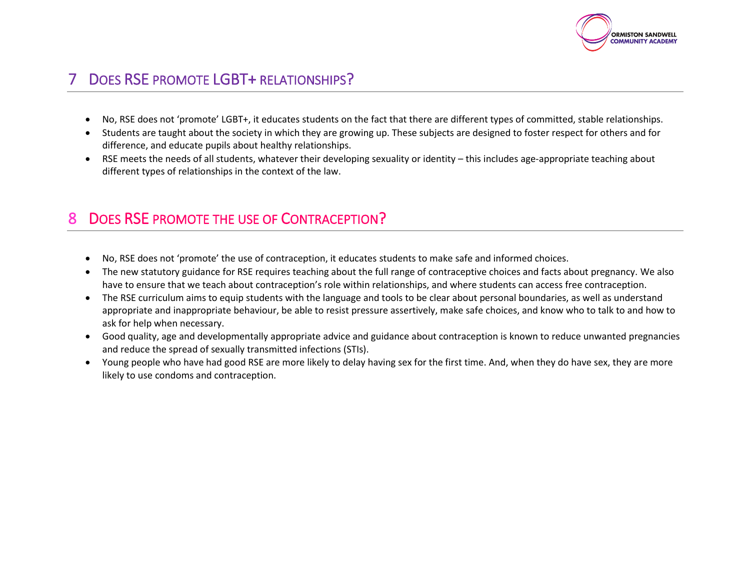

## DOES RSE PROMOTE LGBT+ RELATIONSHIPS?

- No, RSE does not 'promote' LGBT+, it educates students on the fact that there are different types of committed, stable relationships.
- Students are taught about the society in which they are growing up. These subjects are designed to foster respect for others and for difference, and educate pupils about healthy relationships.
- RSE meets the needs of all students, whatever their developing sexuality or identity this includes age-appropriate teaching about different types of relationships in the context of the law.

#### 8 DOES RSE PROMOTE THE USE OF CONTRACEPTION?

- No, RSE does not 'promote' the use of contraception, it educates students to make safe and informed choices.
- The new statutory guidance for RSE requires teaching about the full range of contraceptive choices and facts about pregnancy. We also have to ensure that we teach about contraception's role within relationships, and where students can access free contraception.
- The RSE curriculum aims to equip students with the language and tools to be clear about personal boundaries, as well as understand appropriate and inappropriate behaviour, be able to resist pressure assertively, make safe choices, and know who to talk to and how to ask for help when necessary.
- Good quality, age and developmentally appropriate advice and guidance about contraception is known to reduce unwanted pregnancies and reduce the spread of sexually transmitted infections (STIs).
- Young people who have had good RSE are more likely to delay having sex for the first time. And, when they do have sex, they are more likely to use condoms and contraception.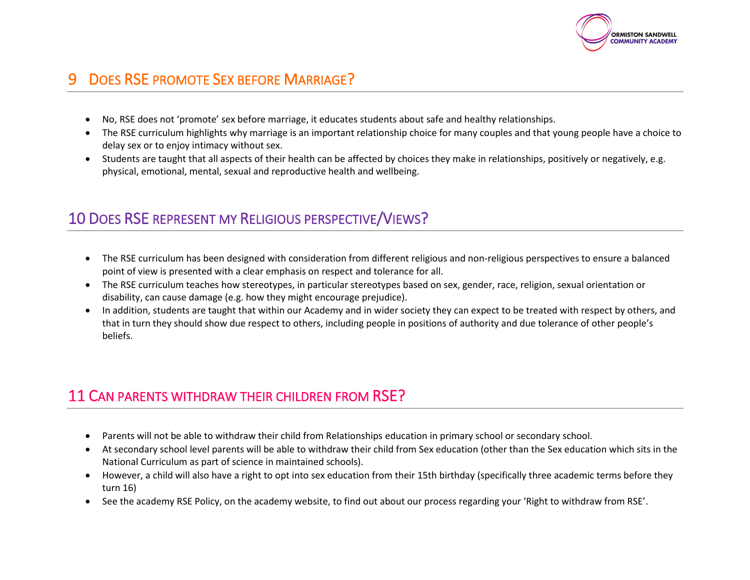

# 9 DOES RSE PROMOTE SEX BEFORE MARRIAGE?

- No, RSE does not 'promote' sex before marriage, it educates students about safe and healthy relationships.
- The RSE curriculum highlights why marriage is an important relationship choice for many couples and that young people have a choice to delay sex or to enjoy intimacy without sex.
- Students are taught that all aspects of their health can be affected by choices they make in relationships, positively or negatively, e.g. physical, emotional, mental, sexual and reproductive health and wellbeing.

#### 10 DOES RSE REPRESENT MY RELIGIOUS PERSPECTIVE/VIEWS?

- The RSE curriculum has been designed with consideration from different religious and non-religious perspectives to ensure a balanced point of view is presented with a clear emphasis on respect and tolerance for all.
- The RSE curriculum teaches how stereotypes, in particular stereotypes based on sex, gender, race, religion, sexual orientation or disability, can cause damage (e.g. how they might encourage prejudice).
- In addition, students are taught that within our Academy and in wider society they can expect to be treated with respect by others, and that in turn they should show due respect to others, including people in positions of authority and due tolerance of other people's beliefs.

#### 11 CAN PARENTS WITHDRAW THEIR CHILDREN FROM RSE?

- Parents will not be able to withdraw their child from Relationships education in primary school or secondary school.
- At secondary school level parents will be able to withdraw their child from Sex education (other than the Sex education which sits in the National Curriculum as part of science in maintained schools).
- However, a child will also have a right to opt into sex education from their 15th birthday (specifically three academic terms before they turn 16)
- See the academy RSE Policy, on the academy website, to find out about our process regarding your 'Right to withdraw from RSE'.